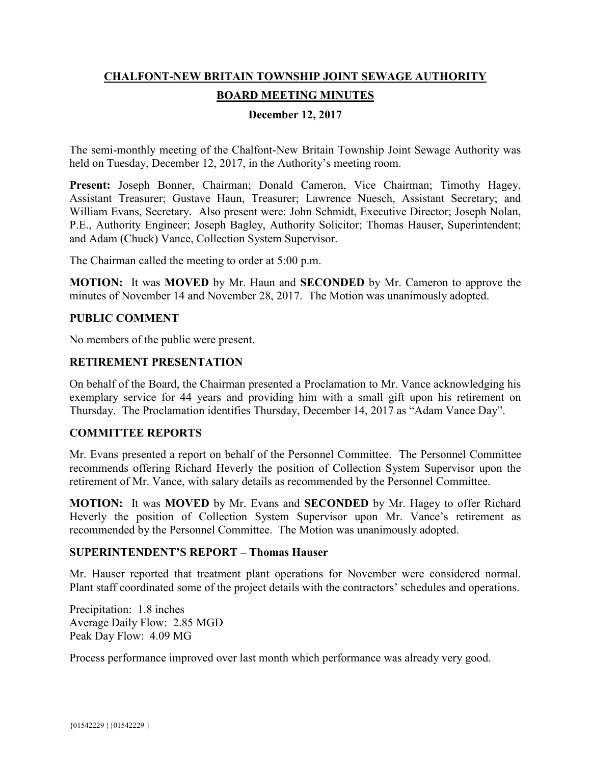# **CHALFONT-NEW BRITAIN TOWNSHIP JOINT SEWAGE AUTHORITY BOARD MEETING MINUTES**

# **December 12, 2017**

The semi-monthly meeting of the Chalfont-New Britain Township Joint Sewage Authority was held on Tuesday, December 12, 2017, in the Authority's meeting room.

Present: Joseph Bonner, Chairman; Donald Cameron, Vice Chairman; Timothy Hagey, Assistant Treasurer; Gustave Haun, Treasurer; Lawrence Nuesch, Assistant Secretary; and William Evans, Secretary. Also present were: John Schmidt, Executive Director; Joseph Nolan, P.E., Authority Engineer; Joseph Bagley, Authority Solicitor; Thomas Hauser, Superintendent; and Adam (Chuck) Vance, Collection System Supervisor.

The Chairman called the meeting to order at 5:00 p.m.

**MOTION:** It was **MOVED** by Mr. Haun and **SECONDED** by Mr. Cameron to approve the minutes of November 14 and November 28, 2017. The Motion was unanimously adopted.

### **PUBLIC COMMENT**

No members of the public were present.

### **RETIREMENT PRESENTATION**

On behalf of the Board, the Chairman presented a Proclamation to Mr. Vance acknowledging his exemplary service for 44 years and providing him with a small gift upon his retirement on Thursday. The Proclamation identifies Thursday, December 14, 2017 as "Adam Vance Day".

# **COMMITTEE REPORTS**

Mr. Evans presented a report on behalf of the Personnel Committee. The Personnel Committee recommends offering Richard Heverly the position of Collection System Supervisor upon the retirement of Mr. Vance, with salary details as recommended by the Personnel Committee.

**MOTION:** It was **MOVED** by Mr. Evans and **SECONDED** by Mr. Hagey to offer Richard Heverly the position of Collection System Supervisor upon Mr. Vance's retirement as recommended by the Personnel Committee. The Motion was unanimously adopted.

#### **SUPERINTENDENT'S REPORT – Thomas Hauser**

Mr. Hauser reported that treatment plant operations for November were considered normal. Plant staff coordinated some of the project details with the contractors' schedules and operations.

Precipitation: 1.8 inches Average Daily Flow: 2.85 MGD Peak Day Flow: 4.09 MG

Process performance improved over last month which performance was already very good.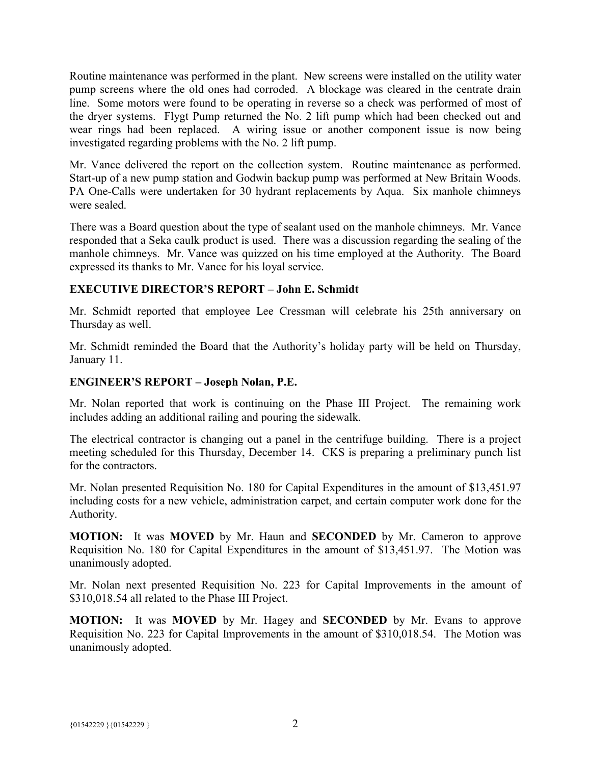Routine maintenance was performed in the plant. New screens were installed on the utility water pump screens where the old ones had corroded. A blockage was cleared in the centrate drain line. Some motors were found to be operating in reverse so a check was performed of most of the dryer systems. Flygt Pump returned the No. 2 lift pump which had been checked out and wear rings had been replaced. A wiring issue or another component issue is now being investigated regarding problems with the No. 2 lift pump.

Mr. Vance delivered the report on the collection system. Routine maintenance as performed. Start-up of a new pump station and Godwin backup pump was performed at New Britain Woods. PA One-Calls were undertaken for 30 hydrant replacements by Aqua. Six manhole chimneys were sealed.

There was a Board question about the type of sealant used on the manhole chimneys. Mr. Vance responded that a Seka caulk product is used. There was a discussion regarding the sealing of the manhole chimneys. Mr. Vance was quizzed on his time employed at the Authority. The Board expressed its thanks to Mr. Vance for his loyal service.

# **EXECUTIVE DIRECTOR'S REPORT – John E. Schmidt**

Mr. Schmidt reported that employee Lee Cressman will celebrate his 25th anniversary on Thursday as well.

Mr. Schmidt reminded the Board that the Authority's holiday party will be held on Thursday, January 11.

# **ENGINEER'S REPORT – Joseph Nolan, P.E.**

Mr. Nolan reported that work is continuing on the Phase III Project. The remaining work includes adding an additional railing and pouring the sidewalk.

The electrical contractor is changing out a panel in the centrifuge building. There is a project meeting scheduled for this Thursday, December 14. CKS is preparing a preliminary punch list for the contractors.

Mr. Nolan presented Requisition No. 180 for Capital Expenditures in the amount of \$13,451.97 including costs for a new vehicle, administration carpet, and certain computer work done for the Authority.

**MOTION:** It was **MOVED** by Mr. Haun and **SECONDED** by Mr. Cameron to approve Requisition No. 180 for Capital Expenditures in the amount of \$13,451.97. The Motion was unanimously adopted.

Mr. Nolan next presented Requisition No. 223 for Capital Improvements in the amount of \$310,018.54 all related to the Phase III Project.

**MOTION:** It was **MOVED** by Mr. Hagey and **SECONDED** by Mr. Evans to approve Requisition No. 223 for Capital Improvements in the amount of \$310,018.54. The Motion was unanimously adopted.